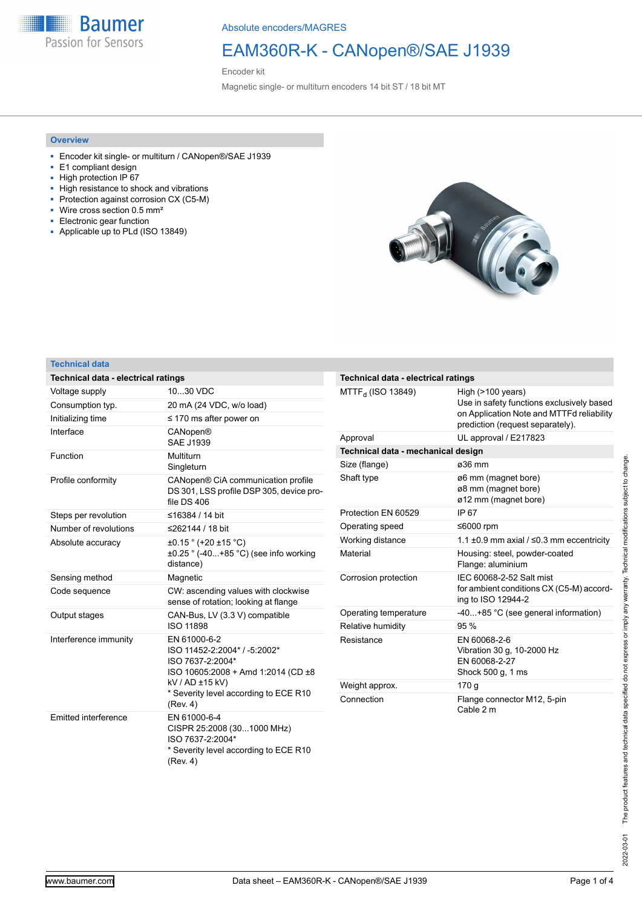**Baumer** Passion for Sensors

Absolute encoders/MAGRES

## EAM360R-K - CANopen®/SAE J1939

Encoder kit

Magnetic single- or multiturn encoders 14 bit ST / 18 bit MT

### **Overview**

- Encoder kit single- or multiturn / CANopen®/SAE J1939
- E1 compliant design
- High protection IP 67
- High resistance to shock and vibrations
- Protection against corrosion CX (C5-M) ■ Wire cross section 0.5 mm²
- Electronic gear function
- Applicable up to PLd (ISO 13849)



### **Technical data**

| Technical data - electrical ratings |                                                                                                                                                                                |
|-------------------------------------|--------------------------------------------------------------------------------------------------------------------------------------------------------------------------------|
| Voltage supply                      | 1030 VDC                                                                                                                                                                       |
| Consumption typ.                    | 20 mA (24 VDC, w/o load)                                                                                                                                                       |
| Initializing time                   | $\leq$ 170 ms after power on                                                                                                                                                   |
| Interface                           | <b>CANopen®</b><br><b>SAE J1939</b>                                                                                                                                            |
| Function                            | Multiturn<br>Singleturn                                                                                                                                                        |
| Profile conformity                  | CANopen® CiA communication profile<br>DS 301, LSS profile DSP 305, device pro-<br>file DS 406                                                                                  |
| Steps per revolution                | ≤16384 / 14 bit                                                                                                                                                                |
| Number of revolutions               | ≤262144 / 18 bit                                                                                                                                                               |
| Absolute accuracy                   | $\pm 0.15$ ° (+20 $\pm 15$ °C)<br>$\pm 0.25$ ° (-40+85 °C) (see info working<br>distance)                                                                                      |
| Sensing method                      | Magnetic                                                                                                                                                                       |
| Code sequence                       | CW: ascending values with clockwise<br>sense of rotation; looking at flange                                                                                                    |
| Output stages                       | CAN-Bus, LV (3.3 V) compatible<br><b>ISO 11898</b>                                                                                                                             |
| Interference immunity               | EN 61000-6-2<br>ISO 11452-2:2004* / -5:2002*<br>ISO 7637-2:2004*<br>ISO 10605:2008 + Amd 1:2014 (CD ±8<br>kV / AD ±15 kV)<br>* Severity level according to ECE R10<br>(Rev. 4) |
| Emitted interference                | EN 61000-6-4<br>CISPR 25:2008 (301000 MHz)<br>ISO 7637-2:2004*<br>* Severity level according to ECE R10<br>(Rev. 4)                                                            |

| Technical data - electrical ratings |                                                                                                                                                       |  |  |  |  |  |
|-------------------------------------|-------------------------------------------------------------------------------------------------------------------------------------------------------|--|--|--|--|--|
| $MTTF_{d}$ (ISO 13849)              | High $($ >100 years $)$<br>Use in safety functions exclusively based<br>on Application Note and MTTFd reliability<br>prediction (request separately). |  |  |  |  |  |
| Approval                            | UL approval / E217823                                                                                                                                 |  |  |  |  |  |
| Technical data - mechanical design  |                                                                                                                                                       |  |  |  |  |  |
| Size (flange)                       | ø36 mm                                                                                                                                                |  |  |  |  |  |
| Shaft type                          | ø6 mm (magnet bore)<br>ø8 mm (magnet bore)<br>ø12 mm (magnet bore)                                                                                    |  |  |  |  |  |
| Protection FN 60529                 | IP <sub>67</sub>                                                                                                                                      |  |  |  |  |  |
| Operating speed                     | ≤6000 rpm                                                                                                                                             |  |  |  |  |  |
| Working distance                    | 1.1 $\pm$ 0.9 mm axial / $\leq$ 0.3 mm eccentricity                                                                                                   |  |  |  |  |  |
| Material                            | Housing: steel, powder-coated<br>Flange: aluminium                                                                                                    |  |  |  |  |  |
| Corrosion protection                | IEC 60068-2-52 Salt mist<br>for ambient conditions CX (C5-M) accord-<br>ing to ISO 12944-2                                                            |  |  |  |  |  |
| Operating temperature               | -40+85 °C (see general information)                                                                                                                   |  |  |  |  |  |
| Relative humidity                   | 95%                                                                                                                                                   |  |  |  |  |  |
| Resistance                          | EN 60068-2-6<br>Vibration 30 g, 10-2000 Hz<br>EN 60068-2-27<br>Shock 500 g, 1 ms                                                                      |  |  |  |  |  |
| Weight approx.                      | 170 g                                                                                                                                                 |  |  |  |  |  |
| Connection                          | Flange connector M12, 5-pin<br>Cable 2 m                                                                                                              |  |  |  |  |  |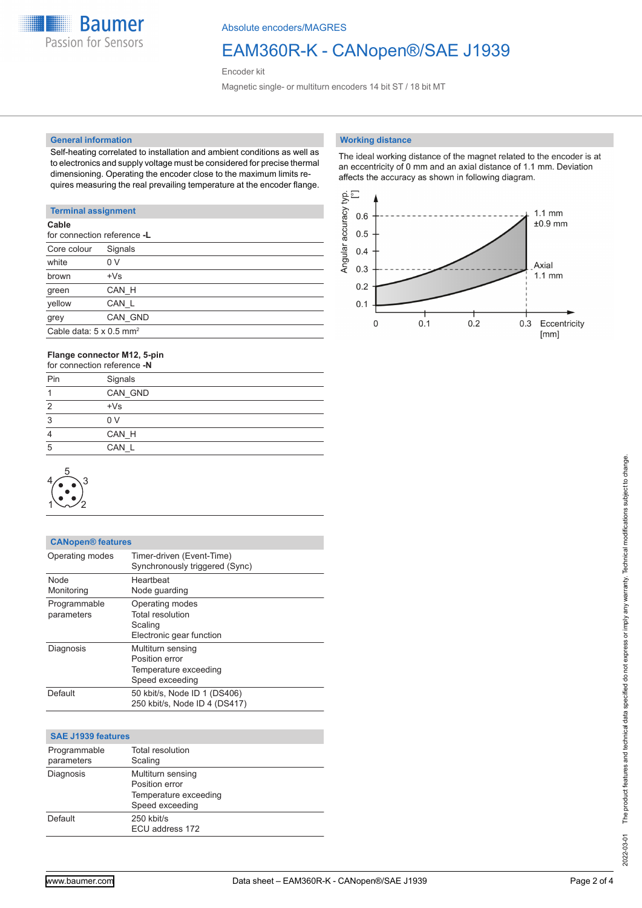**Baumer** Passion for Sensors

Absolute encoders/MAGRES

# EAM360R-K - CANopen®/SAE J1939

Encoder kit

Magnetic single- or multiturn encoders 14 bit ST / 18 bit MT

#### **General information**

Self-heating correlated to installation and ambient conditions as well as to electronics and supply voltage must be considered for precise thermal dimensioning. Operating the encoder close to the maximum limits requires measuring the real prevailing temperature at the encoder flange.

### **Terminal assignment**

| Cable                                      | for connection reference -L |  |
|--------------------------------------------|-----------------------------|--|
| Core colour                                | Signals                     |  |
| white                                      | 0 V                         |  |
| brown                                      | $+Vs$                       |  |
| green                                      | CAN H                       |  |
| yellow                                     | CAN L                       |  |
| grey                                       | CAN GND                     |  |
| Cable data: $5 \times 0.5$ mm <sup>2</sup> |                             |  |
|                                            |                             |  |

### **Flange connector M12, 5-pin**

| for connection reference -N |                |
|-----------------------------|----------------|
| Pin                         | Signals        |
|                             | CAN GND        |
| $\overline{2}$              | $+Vs$          |
| 3                           | 0 <sub>V</sub> |
| 4                           | CAN H          |
| 5                           | CAN L          |
|                             |                |



| <b>CANopen® features</b>   |                                                                                 |
|----------------------------|---------------------------------------------------------------------------------|
| Operating modes            | Timer-driven (Event-Time)<br>Synchronously triggered (Sync)                     |
| <b>Node</b><br>Monitoring  | Heartheat<br>Node guarding                                                      |
| Programmable<br>parameters | Operating modes<br>Total resolution<br>Scaling<br>Electronic gear function      |
| Diagnosis                  | Multiturn sensing<br>Position error<br>Temperature exceeding<br>Speed exceeding |
| Default                    | 50 kbit/s, Node ID 1 (DS406)<br>250 kbit/s, Node ID 4 (DS417)                   |

| <b>SAE J1939 features</b>  |                                                                                 |  |
|----------------------------|---------------------------------------------------------------------------------|--|
| Programmable<br>parameters | Total resolution<br>Scaling                                                     |  |
| Diagnosis                  | Multiturn sensing<br>Position error<br>Temperature exceeding<br>Speed exceeding |  |
| Default                    | 250 kbit/s<br>ECU address 172                                                   |  |

#### **Working distance**

The ideal working distance of the magnet related to the encoder is at an eccentricity of 0 mm and an axial distance of 1.1 mm. Deviation affects the accuracy as shown in following diagram.

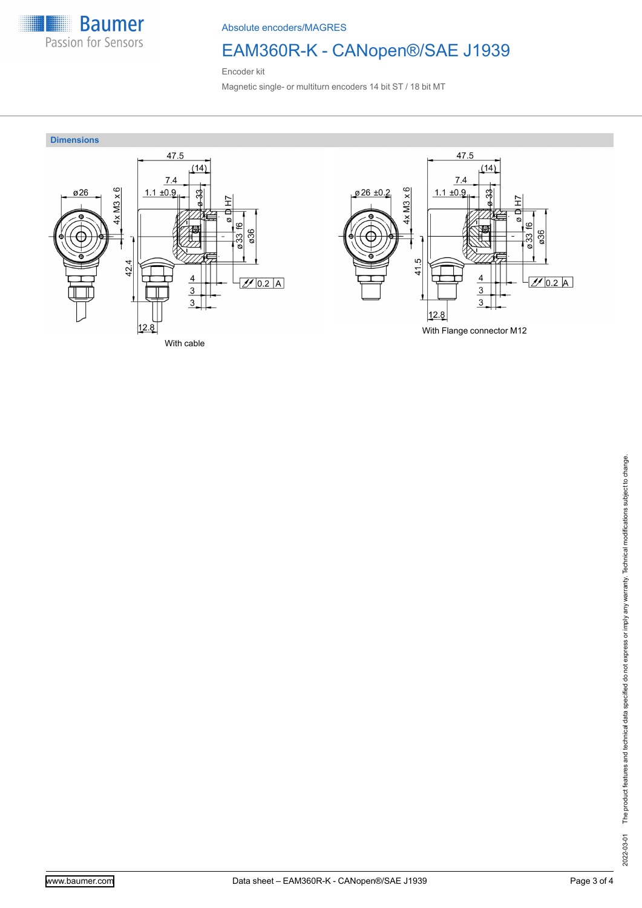

Absolute encoders/MAGRES

# EAM360R-K - CANopen®/SAE J1939

Encoder kit

Magnetic single- or multiturn encoders 14 bit ST / 18 bit MT